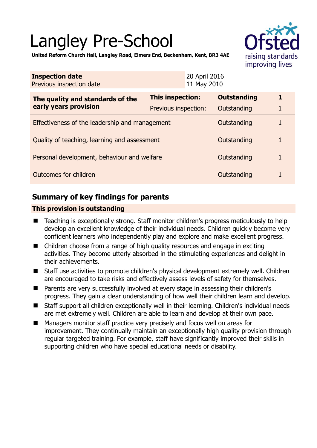# Langley Pre-School



**United Reform Church Hall, Langley Road, Elmers End, Beckenham, Kent, BR3 4AE** 

| <b>Inspection date</b><br>Previous inspection date        |                         | 20 April 2016<br>11 May 2010 |   |
|-----------------------------------------------------------|-------------------------|------------------------------|---|
| The quality and standards of the<br>early years provision | <b>This inspection:</b> | <b>Outstanding</b>           | 1 |
|                                                           | Previous inspection:    | Outstanding                  | 1 |
| Effectiveness of the leadership and management            |                         | Outstanding                  | 1 |
| Quality of teaching, learning and assessment              |                         | Outstanding                  | 1 |
| Personal development, behaviour and welfare               |                         | Outstanding                  | 1 |
| Outcomes for children                                     |                         | Outstanding                  |   |

## **Summary of key findings for parents**

## **This provision is outstanding**

- Teaching is exceptionally strong. Staff monitor children's progress meticulously to help develop an excellent knowledge of their individual needs. Children quickly become very confident learners who independently play and explore and make excellent progress.
- Children choose from a range of high quality resources and engage in exciting activities. They become utterly absorbed in the stimulating experiences and delight in their achievements.
- Staff use activities to promote children's physical development extremely well. Children are encouraged to take risks and effectively assess levels of safety for themselves.
- Parents are very successfully involved at every stage in assessing their children's progress. They gain a clear understanding of how well their children learn and develop.
- Staff support all children exceptionally well in their learning. Children's individual needs are met extremely well. Children are able to learn and develop at their own pace.
- Managers monitor staff practice very precisely and focus well on areas for improvement. They continually maintain an exceptionally high quality provision through regular targeted training. For example, staff have significantly improved their skills in supporting children who have special educational needs or disability.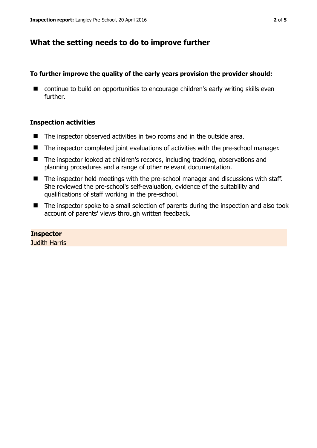## **What the setting needs to do to improve further**

## **To further improve the quality of the early years provision the provider should:**

■ continue to build on opportunities to encourage children's early writing skills even further.

## **Inspection activities**

- The inspector observed activities in two rooms and in the outside area.
- The inspector completed joint evaluations of activities with the pre-school manager.
- The inspector looked at children's records, including tracking, observations and planning procedures and a range of other relevant documentation.
- The inspector held meetings with the pre-school manager and discussions with staff. She reviewed the pre-school's self-evaluation, evidence of the suitability and qualifications of staff working in the pre-school.
- The inspector spoke to a small selection of parents during the inspection and also took account of parents' views through written feedback.

#### **Inspector**

Judith Harris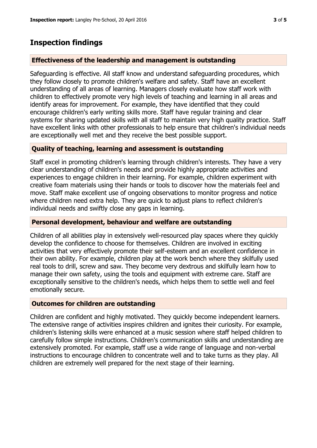## **Inspection findings**

## **Effectiveness of the leadership and management is outstanding**

Safeguarding is effective. All staff know and understand safeguarding procedures, which they follow closely to promote children's welfare and safety. Staff have an excellent understanding of all areas of learning. Managers closely evaluate how staff work with children to effectively promote very high levels of teaching and learning in all areas and identify areas for improvement. For example, they have identified that they could encourage children's early writing skills more. Staff have regular training and clear systems for sharing updated skills with all staff to maintain very high quality practice. Staff have excellent links with other professionals to help ensure that children's individual needs are exceptionally well met and they receive the best possible support.

## **Quality of teaching, learning and assessment is outstanding**

Staff excel in promoting children's learning through children's interests. They have a very clear understanding of children's needs and provide highly appropriate activities and experiences to engage children in their learning. For example, children experiment with creative foam materials using their hands or tools to discover how the materials feel and move. Staff make excellent use of ongoing observations to monitor progress and notice where children need extra help. They are quick to adjust plans to reflect children's individual needs and swiftly close any gaps in learning.

#### **Personal development, behaviour and welfare are outstanding**

Children of all abilities play in extensively well-resourced play spaces where they quickly develop the confidence to choose for themselves. Children are involved in exciting activities that very effectively promote their self-esteem and an excellent confidence in their own ability. For example, children play at the work bench where they skilfully used real tools to drill, screw and saw. They become very dextrous and skilfully learn how to manage their own safety, using the tools and equipment with extreme care. Staff are exceptionally sensitive to the children's needs, which helps them to settle well and feel emotionally secure.

#### **Outcomes for children are outstanding**

Children are confident and highly motivated. They quickly become independent learners. The extensive range of activities inspires children and ignites their curiosity. For example, children's listening skills were enhanced at a music session where staff helped children to carefully follow simple instructions. Children's communication skills and understanding are extensively promoted. For example, staff use a wide range of language and non-verbal instructions to encourage children to concentrate well and to take turns as they play. All children are extremely well prepared for the next stage of their learning.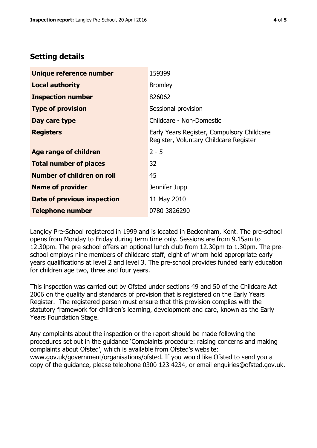## **Setting details**

| Unique reference number       | 159399                                                                               |  |
|-------------------------------|--------------------------------------------------------------------------------------|--|
| <b>Local authority</b>        | <b>Bromley</b>                                                                       |  |
| <b>Inspection number</b>      | 826062                                                                               |  |
| <b>Type of provision</b>      | Sessional provision                                                                  |  |
| Day care type                 | Childcare - Non-Domestic                                                             |  |
| <b>Registers</b>              | Early Years Register, Compulsory Childcare<br>Register, Voluntary Childcare Register |  |
| <b>Age range of children</b>  | $2 - 5$                                                                              |  |
| <b>Total number of places</b> | 32                                                                                   |  |
| Number of children on roll    | 45                                                                                   |  |
| <b>Name of provider</b>       | Jennifer Jupp                                                                        |  |
| Date of previous inspection   | 11 May 2010                                                                          |  |
| <b>Telephone number</b>       | 0780 3826290                                                                         |  |

Langley Pre-School registered in 1999 and is located in Beckenham, Kent. The pre-school opens from Monday to Friday during term time only. Sessions are from 9.15am to 12.30pm. The pre-school offers an optional lunch club from 12.30pm to 1.30pm. The preschool employs nine members of childcare staff, eight of whom hold appropriate early years qualifications at level 2 and level 3. The pre-school provides funded early education for children age two, three and four years.

This inspection was carried out by Ofsted under sections 49 and 50 of the Childcare Act 2006 on the quality and standards of provision that is registered on the Early Years Register. The registered person must ensure that this provision complies with the statutory framework for children's learning, development and care, known as the Early Years Foundation Stage.

Any complaints about the inspection or the report should be made following the procedures set out in the guidance 'Complaints procedure: raising concerns and making complaints about Ofsted', which is available from Ofsted's website: www.gov.uk/government/organisations/ofsted. If you would like Ofsted to send you a copy of the guidance, please telephone 0300 123 4234, or email enquiries@ofsted.gov.uk.